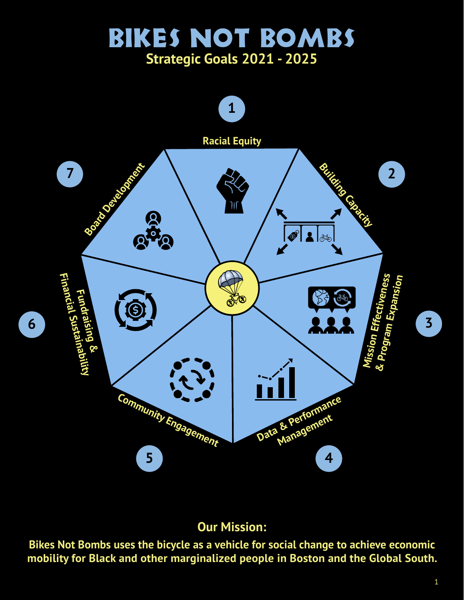# Bikes Not Bombs **Strategic Goals 2021 - 2025**



### **Our Mission:**

**Bikes Not Bombs uses the bicycle as a vehicle for social change to achieve economic mobility for Black and other marginalized people in Boston and the Global South.**